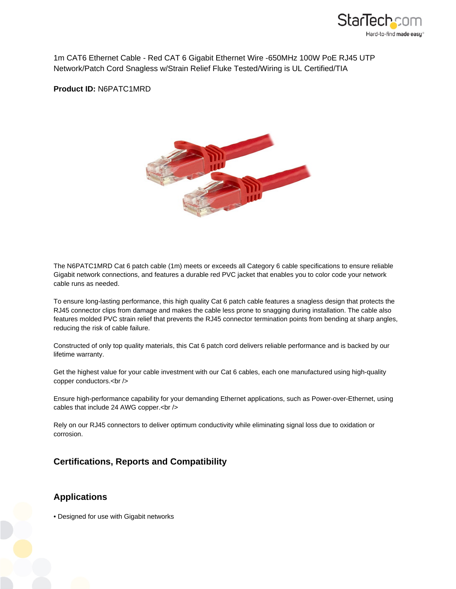

1m CAT6 Ethernet Cable - Red CAT 6 Gigabit Ethernet Wire -650MHz 100W PoE RJ45 UTP Network/Patch Cord Snagless w/Strain Relief Fluke Tested/Wiring is UL Certified/TIA

**Product ID:** N6PATC1MRD



The N6PATC1MRD Cat 6 patch cable (1m) meets or exceeds all Category 6 cable specifications to ensure reliable Gigabit network connections, and features a durable red PVC jacket that enables you to color code your network cable runs as needed.

To ensure long-lasting performance, this high quality Cat 6 patch cable features a snagless design that protects the RJ45 connector clips from damage and makes the cable less prone to snagging during installation. The cable also features molded PVC strain relief that prevents the RJ45 connector termination points from bending at sharp angles, reducing the risk of cable failure.

Constructed of only top quality materials, this Cat 6 patch cord delivers reliable performance and is backed by our lifetime warranty.

Get the highest value for your cable investment with our Cat 6 cables, each one manufactured using high-quality copper conductors.<br />

Ensure high-performance capability for your demanding Ethernet applications, such as Power-over-Ethernet, using cables that include 24 AWG copper.<br />>

Rely on our RJ45 connectors to deliver optimum conductivity while eliminating signal loss due to oxidation or corrosion.

## **Certifications, Reports and Compatibility**

## **Applications**

• Designed for use with Gigabit networks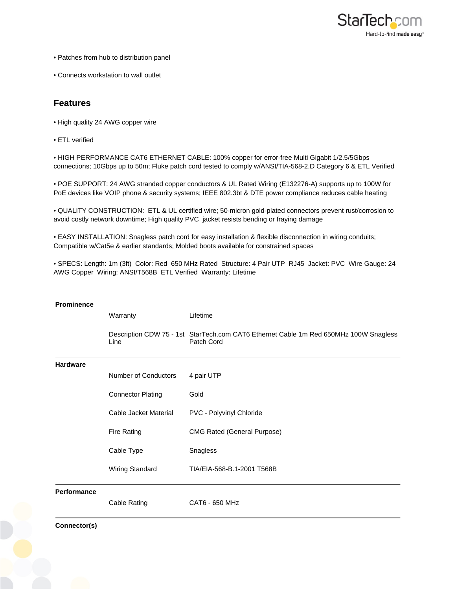

- Patches from hub to distribution panel
- Connects workstation to wall outlet

## **Features**

- High quality 24 AWG copper wire
- ETL verified

• HIGH PERFORMANCE CAT6 ETHERNET CABLE: 100% copper for error-free Multi Gigabit 1/2.5/5Gbps connections; 10Gbps up to 50m; Fluke patch cord tested to comply w/ANSI/TIA-568-2.D Category 6 & ETL Verified

• POE SUPPORT: 24 AWG stranded copper conductors & UL Rated Wiring (E132276-A) supports up to 100W for PoE devices like VOIP phone & security systems; IEEE 802.3bt & DTE power compliance reduces cable heating

• QUALITY CONSTRUCTION: ETL & UL certified wire; 50-micron gold-plated connectors prevent rust/corrosion to avoid costly network downtime; High quality PVC jacket resists bending or fraying damage

• EASY INSTALLATION: Snagless patch cord for easy installation & flexible disconnection in wiring conduits; Compatible w/Cat5e & earlier standards; Molded boots available for constrained spaces

• SPECS: Length: 1m (3ft) Color: Red 650 MHz Rated Structure: 4 Pair UTP RJ45 Jacket: PVC Wire Gauge: 24 AWG Copper Wiring: ANSI/T568B ETL Verified Warranty: Lifetime

| <b>Prominence</b>  |                          |                                                                                                     |
|--------------------|--------------------------|-----------------------------------------------------------------------------------------------------|
|                    | Warranty                 | Lifetime                                                                                            |
|                    | Line                     | Description CDW 75 - 1st StarTech.com CAT6 Ethernet Cable 1m Red 650MHz 100W Snagless<br>Patch Cord |
| <b>Hardware</b>    |                          |                                                                                                     |
|                    | Number of Conductors     | 4 pair UTP                                                                                          |
|                    | <b>Connector Plating</b> | Gold                                                                                                |
|                    | Cable Jacket Material    | PVC - Polyvinyl Chloride                                                                            |
|                    | <b>Fire Rating</b>       | <b>CMG Rated (General Purpose)</b>                                                                  |
|                    | Cable Type               | Snagless                                                                                            |
|                    | Wiring Standard          | TIA/EIA-568-B.1-2001 T568B                                                                          |
| <b>Performance</b> |                          |                                                                                                     |
|                    | Cable Rating             | CAT6 - 650 MHz                                                                                      |

**Connector(s)**